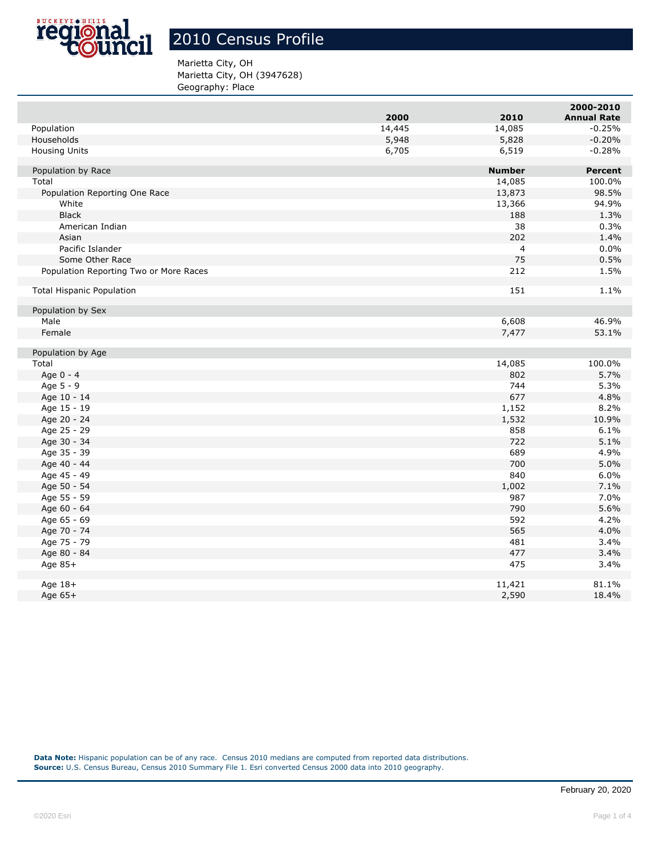

## 2010 Census Profile

## Marietta City, OH Marietta City, OH (3947628) Geography: Place

|                                        |        |                | 2000-2010          |
|----------------------------------------|--------|----------------|--------------------|
|                                        | 2000   | 2010           | <b>Annual Rate</b> |
| Population                             | 14,445 | 14,085         | $-0.25%$           |
| Households                             | 5,948  | 5,828          | $-0.20%$           |
| Housing Units                          | 6,705  | 6,519          | $-0.28%$           |
| Population by Race                     |        | <b>Number</b>  | <b>Percent</b>     |
| Total                                  |        | 14,085         | 100.0%             |
| Population Reporting One Race          |        | 13,873         | 98.5%              |
| White                                  |        | 13,366         | 94.9%              |
| <b>Black</b>                           |        | 188            | 1.3%               |
| American Indian                        |        | 38             | 0.3%               |
| Asian                                  |        | 202            | 1.4%               |
| Pacific Islander                       |        | $\overline{4}$ | 0.0%               |
| Some Other Race                        |        | 75             | 0.5%               |
| Population Reporting Two or More Races |        | 212            | 1.5%               |
| <b>Total Hispanic Population</b>       |        | 151            | 1.1%               |
| Population by Sex                      |        |                |                    |
| Male                                   |        | 6,608          | 46.9%              |
| Female                                 |        | 7,477          | 53.1%              |
| Population by Age                      |        |                |                    |
| Total                                  |        | 14,085         | 100.0%             |
| Age 0 - 4                              |        | 802            | 5.7%               |
| Age 5 - 9                              |        | 744            | 5.3%               |
| Age 10 - 14                            |        | 677            | 4.8%               |
| Age 15 - 19                            |        | 1,152          | 8.2%               |
| Age 20 - 24                            |        | 1,532          | 10.9%              |
| Age 25 - 29                            |        | 858            | 6.1%               |
| Age 30 - 34                            |        | 722            | 5.1%               |
| Age 35 - 39                            |        | 689            | 4.9%               |
| Age 40 - 44                            |        | 700            | 5.0%               |
| Age 45 - 49                            |        | 840            | 6.0%               |
| Age 50 - 54                            |        | 1,002          | 7.1%               |
| Age 55 - 59                            |        | 987            | 7.0%               |
| Age 60 - 64                            |        | 790            | 5.6%               |
| Age 65 - 69                            |        | 592            | 4.2%               |
| Age 70 - 74                            |        | 565            | 4.0%               |
| Age 75 - 79                            |        | 481            | 3.4%               |
| Age 80 - 84                            |        | 477            | 3.4%               |
| Age 85+                                |        | 475            | 3.4%               |
| Age 18+                                |        | 11,421         | 81.1%              |
| Age 65+                                |        | 2,590          | 18.4%              |
|                                        |        |                |                    |

**Data Note:** Hispanic population can be of any race. Census 2010 medians are computed from reported data distributions. **Source:** U.S. Census Bureau, Census 2010 Summary File 1. Esri converted Census 2000 data into 2010 geography.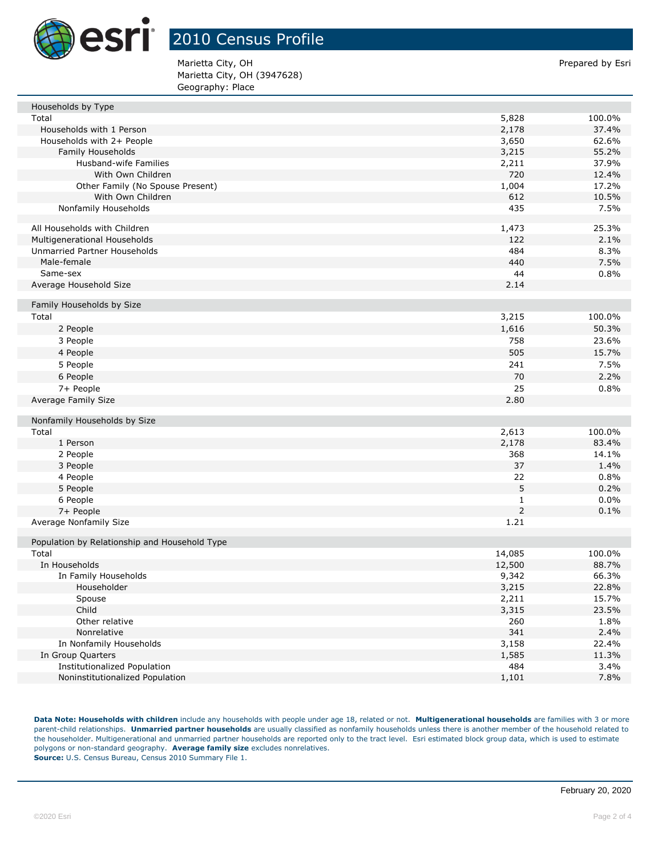

## 2010 Census Profile

Marietta City, OH **Prepared by Esri** Prepared by Esri Marietta City, OH (3947628) Geography: Place

| Households by Type                            |                |                 |
|-----------------------------------------------|----------------|-----------------|
| Total                                         | 5,828          | 100.0%          |
| Households with 1 Person                      | 2,178          | 37.4%           |
| Households with 2+ People                     | 3,650          | 62.6%           |
| Family Households                             | 3,215          | 55.2%           |
| Husband-wife Families                         | 2,211          | 37.9%           |
| With Own Children                             | 720            | 12.4%           |
| Other Family (No Spouse Present)              | 1,004          | 17.2%           |
| With Own Children                             | 612            | 10.5%           |
| Nonfamily Households                          | 435            | 7.5%            |
| All Households with Children                  | 1,473          | 25.3%           |
| Multigenerational Households                  | 122            | 2.1%            |
| Unmarried Partner Households                  | 484            | 8.3%            |
| Male-female                                   | 440            | 7.5%            |
| Same-sex                                      | 44             | 0.8%            |
| Average Household Size                        | 2.14           |                 |
| Family Households by Size                     |                |                 |
| Total                                         | 3,215          | 100.0%          |
| 2 People                                      | 1,616          | 50.3%           |
| 3 People                                      | 758            | 23.6%           |
| 4 People                                      | 505            | 15.7%           |
| 5 People                                      | 241            | 7.5%            |
| 6 People                                      | 70             | 2.2%            |
| 7+ People                                     | 25             | 0.8%            |
| Average Family Size                           | 2.80           |                 |
|                                               |                |                 |
| Nonfamily Households by Size<br>Total         |                |                 |
| 1 Person                                      | 2,613<br>2,178 | 100.0%<br>83.4% |
| 2 People                                      | 368            | 14.1%           |
| 3 People                                      | 37             | 1.4%            |
| 4 People                                      | 22             | 0.8%            |
| 5 People                                      | 5              | 0.2%            |
| 6 People                                      | 1              | 0.0%            |
| 7+ People                                     | 2              | 0.1%            |
| Average Nonfamily Size                        | 1.21           |                 |
|                                               |                |                 |
| Population by Relationship and Household Type |                |                 |
| Total                                         | 14,085         | 100.0%          |
| In Households                                 | 12,500         | 88.7%           |
| In Family Households                          | 9,342          | 66.3%           |
| Householder                                   | 3,215          | 22.8%           |
| Spouse                                        | 2,211          | 15.7%           |
| Child                                         | 3,315          | 23.5%           |
| Other relative                                | 260            | 1.8%            |
| Nonrelative                                   | 341            | 2.4%            |
| In Nonfamily Households                       | 3,158          | 22.4%           |
| In Group Quarters                             | 1,585          | 11.3%           |
| <b>Institutionalized Population</b>           | 484            | 3.4%            |
| Noninstitutionalized Population               | 1,101          | 7.8%            |

**Data Note: Households with children** include any households with people under age 18, related or not. **Multigenerational households** are families with 3 or more parent-child relationships. **Unmarried partner households** are usually classified as nonfamily households unless there is another member of the household related to the householder. Multigenerational and unmarried partner households are reported only to the tract level. Esri estimated block group data, which is used to estimate polygons or non-standard geography. **Average family size** excludes nonrelatives. **Source:** U.S. Census Bureau, Census 2010 Summary File 1.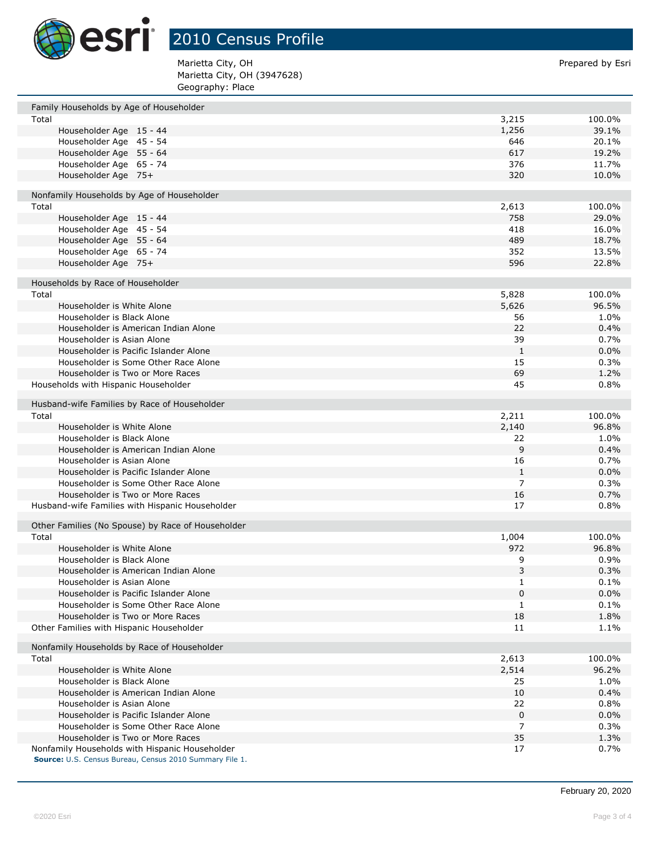

2010 Census Profile

| Marietta City, OH           | Prepared by Esri |
|-----------------------------|------------------|
| Marietta City, OH (3947628) |                  |
| Geography: Place            |                  |

| Family Households by Age of Householder                                                                   |                |         |
|-----------------------------------------------------------------------------------------------------------|----------------|---------|
| Total                                                                                                     | 3,215          | 100.0%  |
| Householder Age 15 - 44                                                                                   | 1,256          | 39.1%   |
| Householder Age 45 - 54                                                                                   | 646            | 20.1%   |
| Householder Age 55 - 64                                                                                   | 617            | 19.2%   |
| Householder Age 65 - 74                                                                                   | 376            | 11.7%   |
| Householder Age 75+                                                                                       | 320            | 10.0%   |
|                                                                                                           |                |         |
| Nonfamily Households by Age of Householder                                                                |                |         |
| Total                                                                                                     | 2,613          | 100.0%  |
| Householder Age 15 - 44                                                                                   | 758            | 29.0%   |
| Householder Age 45 - 54                                                                                   | 418            | 16.0%   |
| Householder Age 55 - 64                                                                                   | 489            | 18.7%   |
| Householder Age 65 - 74                                                                                   | 352            | 13.5%   |
| Householder Age 75+                                                                                       | 596            | 22.8%   |
|                                                                                                           |                |         |
| Households by Race of Householder<br>Total                                                                | 5,828          | 100.0%  |
| Householder is White Alone                                                                                | 5,626          | 96.5%   |
| Householder is Black Alone                                                                                | 56             | 1.0%    |
|                                                                                                           | 22             | 0.4%    |
| Householder is American Indian Alone                                                                      | 39             |         |
| Householder is Asian Alone                                                                                | $\mathbf{1}$   | 0.7%    |
| Householder is Pacific Islander Alone                                                                     |                | 0.0%    |
| Householder is Some Other Race Alone                                                                      | 15             | 0.3%    |
| Householder is Two or More Races                                                                          | 69             | 1.2%    |
| Households with Hispanic Householder                                                                      | 45             | 0.8%    |
| Husband-wife Families by Race of Householder                                                              |                |         |
| Total                                                                                                     | 2,211          | 100.0%  |
| Householder is White Alone                                                                                | 2,140          | 96.8%   |
| Householder is Black Alone                                                                                | 22             | 1.0%    |
| Householder is American Indian Alone                                                                      | 9              | 0.4%    |
| Householder is Asian Alone                                                                                | 16             | 0.7%    |
| Householder is Pacific Islander Alone                                                                     | $\mathbf{1}$   | $0.0\%$ |
| Householder is Some Other Race Alone                                                                      | $\overline{7}$ | 0.3%    |
| Householder is Two or More Races                                                                          | 16             | 0.7%    |
| Husband-wife Families with Hispanic Householder                                                           | 17             | 0.8%    |
|                                                                                                           |                |         |
| Other Families (No Spouse) by Race of Householder                                                         |                |         |
| Total                                                                                                     | 1,004          | 100.0%  |
| Householder is White Alone                                                                                | 972            | 96.8%   |
| Householder is Black Alone                                                                                | 9              | 0.9%    |
| Householder is American Indian Alone                                                                      | 3              | 0.3%    |
| Householder is Asian Alone                                                                                | 1              | $0.1\%$ |
| Householder is Pacific Islander Alone                                                                     | 0              | $0.0\%$ |
| Householder is Some Other Race Alone                                                                      | 1              | 0.1%    |
| Householder is Two or More Races                                                                          | 18             | 1.8%    |
| Other Families with Hispanic Householder                                                                  | 11             | 1.1%    |
|                                                                                                           |                |         |
| Nonfamily Households by Race of Householder                                                               |                |         |
| Total                                                                                                     | 2,613          | 100.0%  |
| Householder is White Alone                                                                                | 2,514          | 96.2%   |
| Householder is Black Alone                                                                                | 25             | 1.0%    |
| Householder is American Indian Alone                                                                      | 10             | 0.4%    |
| Householder is Asian Alone                                                                                | 22             | 0.8%    |
| Householder is Pacific Islander Alone                                                                     | 0              | 0.0%    |
| Householder is Some Other Race Alone                                                                      | $\overline{7}$ | 0.3%    |
| Householder is Two or More Races                                                                          | 35             | 1.3%    |
| Nonfamily Households with Hispanic Householder<br>Source: U.S. Census Bureau, Census 2010 Summary File 1. | 17             | 0.7%    |